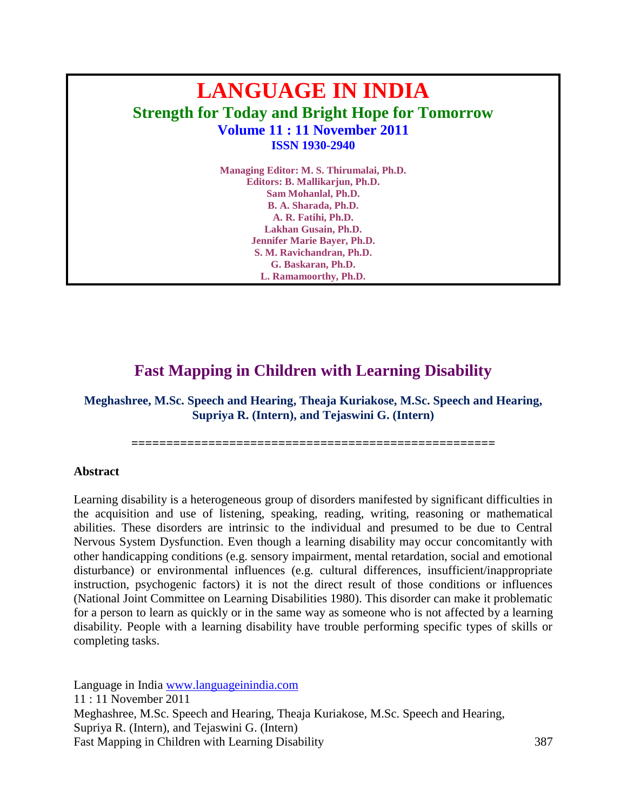# **LANGUAGE IN INDIA Strength for Today and Bright Hope for Tomorrow Volume 11 : 11 November 2011 ISSN 1930-2940**

**Managing Editor: M. S. Thirumalai, Ph.D. Editors: B. Mallikarjun, Ph.D. Sam Mohanlal, Ph.D. B. A. Sharada, Ph.D. A. R. Fatihi, Ph.D. Lakhan Gusain, Ph.D. Jennifer Marie Bayer, Ph.D. S. M. Ravichandran, Ph.D. G. Baskaran, Ph.D. L. Ramamoorthy, Ph.D.**

# **Fast Mapping in Children with Learning Disability**

**Meghashree, M.Sc. Speech and Hearing, Theaja Kuriakose, M.Sc. Speech and Hearing, Supriya R. (Intern), and Tejaswini G. (Intern)**

**====================================================**

#### **Abstract**

Learning disability is a heterogeneous group of disorders manifested by significant difficulties in the acquisition and use of listening, speaking, reading, writing, reasoning or mathematical abilities. These disorders are intrinsic to the individual and presumed to be due to Central Nervous System Dysfunction. Even though a learning disability may occur concomitantly with other handicapping conditions (e.g. sensory impairment, mental retardation, social and emotional disturbance) or environmental influences (e.g. cultural differences, insufficient/inappropriate instruction, [psychogenic](http://en.wikipedia.org/wiki/Psychogenic) factors) it is not the direct result of those conditions or influences (National Joint Committee on Learning Disabilities 1980). This disorder can make it problematic for a person to learn as quickly or in the same way as someone who is not affected by a learning disability. People with a learning disability have trouble performing specific types of skills or completing tasks.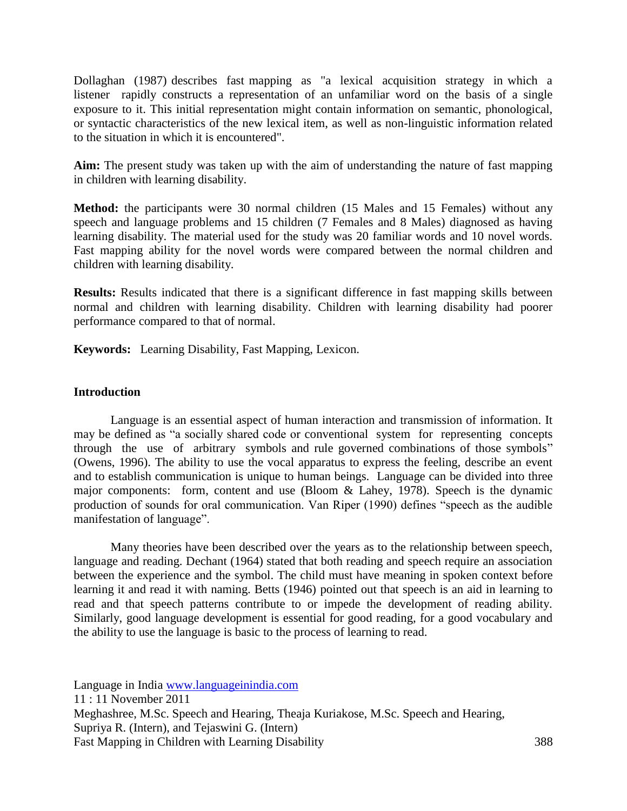Dollaghan (1987) describes fast mapping as "a lexical acquisition strategy in which a listener rapidly constructs a representation of an unfamiliar word on the basis of a single exposure to it. This initial representation might contain information on semantic, phonological, or syntactic characteristics of the new lexical item, as well as non-linguistic information related to the situation in which it is encountered".

**Aim:** The present study was taken up with the aim of understanding the nature of fast mapping in children with learning disability.

**Method:** the participants were 30 normal children (15 Males and 15 Females) without any speech and language problems and 15 children (7 Females and 8 Males) diagnosed as having learning disability. The material used for the study was 20 familiar words and 10 novel words. Fast mapping ability for the novel words were compared between the normal children and children with learning disability.

**Results:** Results indicated that there is a significant difference in fast mapping skills between normal and children with learning disability. Children with learning disability had poorer performance compared to that of normal.

**Keywords:** Learning Disability, Fast Mapping, Lexicon.

# **Introduction**

Language is an essential aspect of human interaction and transmission of information. It may be defined as "a socially shared code or conventional system for representing concepts through the use of arbitrary symbols and rule governed combinations of those symbols" (Owens, 1996). The ability to use the vocal apparatus to express the feeling, describe an event and to establish communication is unique to human beings. Language can be divided into three major components: form, content and use (Bloom & Lahey, 1978). Speech is the dynamic production of sounds for oral communication. Van Riper (1990) defines "speech as the audible manifestation of language".

Many theories have been described over the years as to the relationship between speech, language and reading. Dechant (1964) stated that both reading and speech require an association between the experience and the symbol. The child must have meaning in spoken context before learning it and read it with naming. Betts (1946) pointed out that speech is an aid in learning to read and that speech patterns contribute to or impede the development of reading ability. Similarly, good language development is essential for good reading, for a good vocabulary and the ability to use the language is basic to the process of learning to read.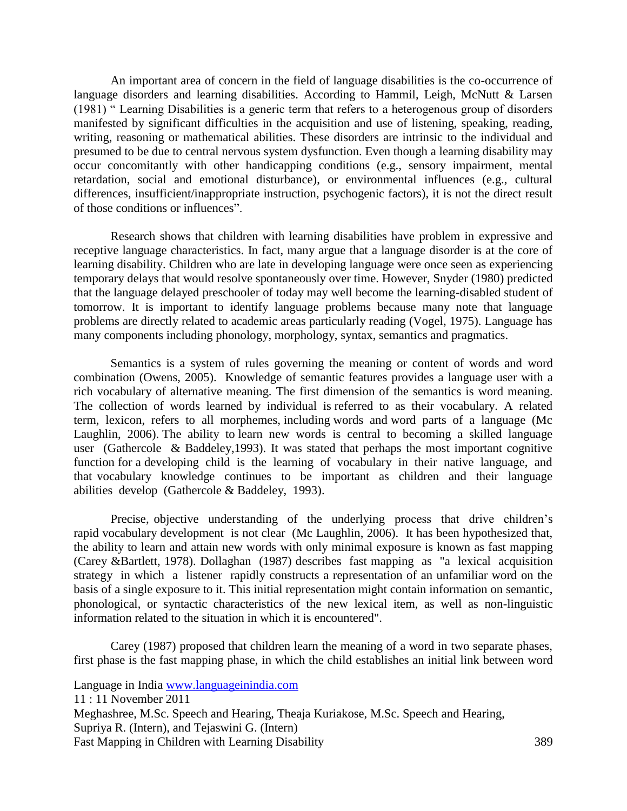An important area of concern in the field of language disabilities is the co-occurrence of language disorders and learning disabilities. According to Hammil, Leigh, McNutt & Larsen (1981) " Learning Disabilities is a generic term that refers to a heterogenous group of disorders manifested by significant difficulties in the acquisition and use of listening, speaking, reading, writing, reasoning or mathematical abilities. These disorders are intrinsic to the individual and presumed to be due to central nervous system dysfunction. Even though a learning disability may occur concomitantly with other handicapping conditions (e.g., sensory impairment, mental retardation, social and emotional disturbance), or environmental influences (e.g., cultural differences, insufficient/inappropriate instruction, psychogenic factors), it is not the direct result of those conditions or influences".

Research shows that children with learning disabilities have problem in expressive and receptive language characteristics. In fact, many argue that a language disorder is at the core of learning disability. Children who are late in developing language were once seen as experiencing temporary delays that would resolve spontaneously over time. However, Snyder (1980) predicted that the language delayed preschooler of today may well become the learning-disabled student of tomorrow. It is important to identify language problems because many note that language problems are directly related to academic areas particularly reading (Vogel, 1975). Language has many components including phonology, morphology, syntax, semantics and pragmatics.

Semantics is a system of rules governing the meaning or content of words and word combination (Owens, 2005). Knowledge of semantic features provides a language user with a rich vocabulary of alternative meaning. The first dimension of the semantics is word meaning. The collection of words learned by individual is referred to as their vocabulary. A related term, lexicon, refers to all morphemes, including words and word parts of a language (Mc Laughlin, 2006). The ability to learn new words is central to becoming a skilled language user (Gathercole & Baddeley,1993). It was stated that perhaps the most important cognitive function for a developing child is the learning of vocabulary in their native language, and that vocabulary knowledge continues to be important as children and their language abilities develop (Gathercole & Baddeley, 1993).

Precise, objective understanding of the underlying process that drive children's rapid vocabulary development is not clear (Mc Laughlin, 2006). It has been hypothesized that, the ability to learn and attain new words with only minimal exposure is known as fast mapping (Carey &Bartlett, 1978). Dollaghan (1987) describes fast mapping as "a lexical acquisition strategy in which a listener rapidly constructs a representation of an unfamiliar word on the basis of a single exposure to it. This initial representation might contain information on semantic, phonological, or syntactic characteristics of the new lexical item, as well as non-linguistic information related to the situation in which it is encountered".

Carey (1987) proposed that children learn the meaning of a word in two separate phases, first phase is the fast mapping phase, in which the child establishes an initial link between word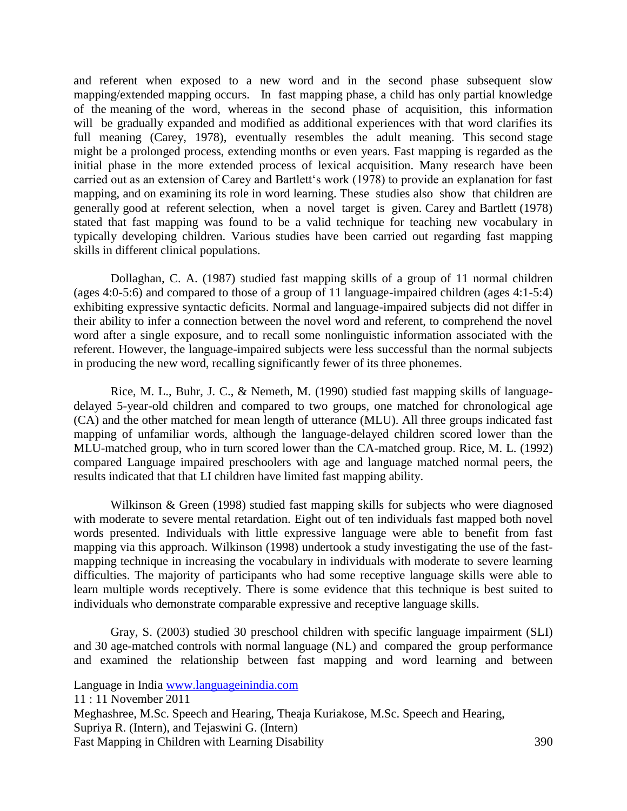and referent when exposed to a new word and in the second phase subsequent slow mapping/extended mapping occurs. In fast mapping phase, a child has only partial knowledge of the meaning of the word, whereas in the second phase of acquisition, this information will be gradually expanded and modified as additional experiences with that word clarifies its full meaning (Carey, 1978), eventually resembles the adult meaning. This second stage might be a prolonged process, extending months or even years. Fast mapping is regarded as the initial phase in the more extended process of lexical acquisition. Many research have been carried out as an extension of Carey and Bartlett's work (1978) to provide an explanation for fast mapping, and on examining its role in word learning. These studies also show that children are generally good at referent selection, when a novel target is given. Carey and Bartlett (1978) stated that fast mapping was found to be a valid technique for teaching new vocabulary in typically developing children. Various studies have been carried out regarding fast mapping skills in different clinical populations.

Dollaghan, C. A. (1987) studied fast mapping skills of a group of 11 normal children (ages 4:0-5:6) and compared to those of a group of 11 language-impaired children (ages 4:1-5:4) exhibiting expressive syntactic deficits. Normal and language-impaired subjects did not differ in their ability to infer a connection between the novel word and referent, to comprehend the novel word after a single exposure, and to recall some nonlinguistic information associated with the referent. However, the language-impaired subjects were less successful than the normal subjects in producing the new word, recalling significantly fewer of its three phonemes.

Rice, M. L., Buhr, J. C., & Nemeth, M. (1990) studied fast mapping skills of languagedelayed 5-year-old children and compared to two groups, one matched for chronological age (CA) and the other matched for mean length of utterance (MLU). All three groups indicated fast mapping of unfamiliar words, although the language-delayed children scored lower than the MLU-matched group, who in turn scored lower than the CA-matched group. Rice, M. L. (1992) compared Language impaired preschoolers with age and language matched normal peers, the results indicated that that LI children have limited fast mapping ability.

Wilkinson & Green (1998) studied fast mapping skills for subjects who were diagnosed with moderate to severe mental retardation. Eight out of ten individuals fast mapped both novel words presented. Individuals with little expressive language were able to benefit from fast mapping via this approach. Wilkinson (1998) undertook a study investigating the use of the fastmapping technique in increasing the vocabulary in individuals with moderate to severe learning difficulties. The majority of participants who had some receptive language skills were able to learn multiple words receptively. There is some evidence that this technique is best suited to individuals who demonstrate comparable expressive and receptive language skills.

Gray, S. (2003) studied 30 preschool children with specific language impairment (SLI) and 30 age-matched controls with normal language (NL) and compared the group performance and examined the relationship between fast mapping and word learning and between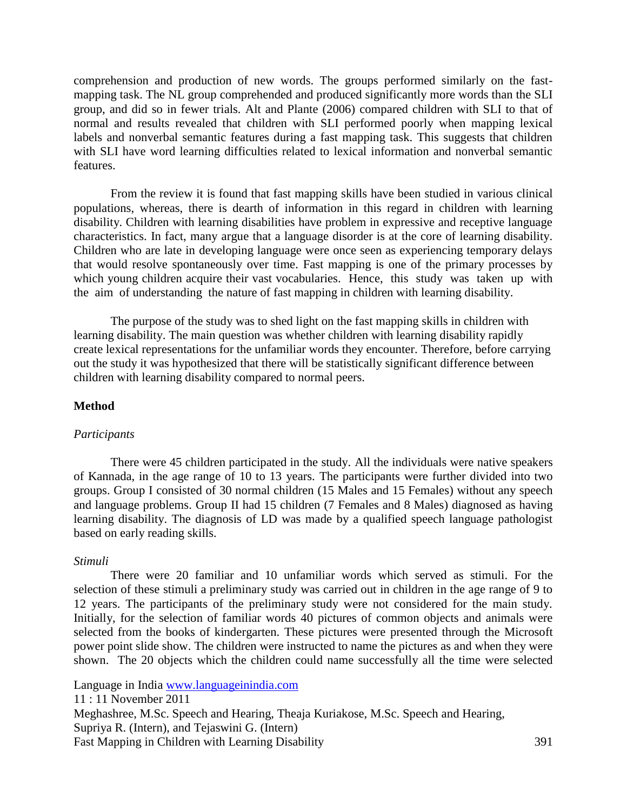comprehension and production of new words. The groups performed similarly on the fastmapping task. The NL group comprehended and produced significantly more words than the SLI group, and did so in fewer trials. Alt and Plante (2006) compared children with SLI to that of normal and results revealed that children with SLI performed poorly when mapping lexical labels and nonverbal semantic features during a fast mapping task. This suggests that children with SLI have word learning difficulties related to lexical information and nonverbal semantic features.

From the review it is found that fast mapping skills have been studied in various clinical populations, whereas, there is dearth of information in this regard in children with learning disability. Children with learning disabilities have problem in expressive and receptive language characteristics. In fact, many argue that a language disorder is at the core of learning disability. Children who are late in developing language were once seen as experiencing temporary delays that would resolve spontaneously over time. Fast mapping is one of the primary processes by which young children acquire their vast vocabularies. Hence, this study was taken up with the aim of understanding the nature of fast mapping in children with learning disability.

The purpose of the study was to shed light on the fast mapping skills in children with learning disability. The main question was whether children with learning disability rapidly create lexical representations for the unfamiliar words they encounter. Therefore, before carrying out the study it was hypothesized that there will be statistically significant difference between children with learning disability compared to normal peers.

#### **Method**

#### *Participants*

There were 45 children participated in the study. All the individuals were native speakers of Kannada, in the age range of 10 to 13 years. The participants were further divided into two groups. Group I consisted of 30 normal children (15 Males and 15 Females) without any speech and language problems. Group II had 15 children (7 Females and 8 Males) diagnosed as having learning disability. The diagnosis of LD was made by a qualified speech language pathologist based on early reading skills.

#### *Stimuli*

There were 20 familiar and 10 unfamiliar words which served as stimuli. For the selection of these stimuli a preliminary study was carried out in children in the age range of 9 to 12 years. The participants of the preliminary study were not considered for the main study. Initially, for the selection of familiar words 40 pictures of common objects and animals were selected from the books of kindergarten. These pictures were presented through the Microsoft power point slide show. The children were instructed to name the pictures as and when they were shown. The 20 objects which the children could name successfully all the time were selected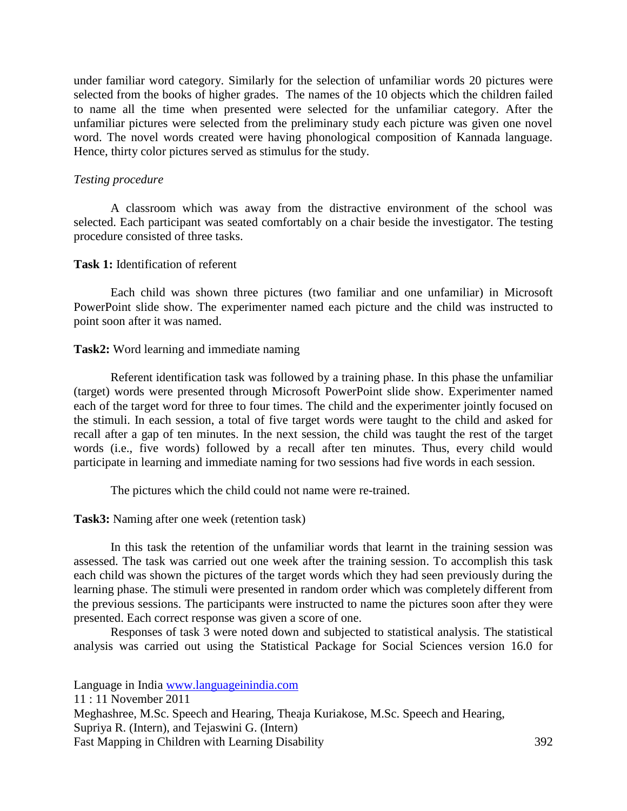under familiar word category. Similarly for the selection of unfamiliar words 20 pictures were selected from the books of higher grades. The names of the 10 objects which the children failed to name all the time when presented were selected for the unfamiliar category. After the unfamiliar pictures were selected from the preliminary study each picture was given one novel word. The novel words created were having phonological composition of Kannada language. Hence, thirty color pictures served as stimulus for the study.

### *Testing procedure*

A classroom which was away from the distractive environment of the school was selected. Each participant was seated comfortably on a chair beside the investigator. The testing procedure consisted of three tasks.

#### **Task 1:** Identification of referent

Each child was shown three pictures (two familiar and one unfamiliar) in Microsoft PowerPoint slide show. The experimenter named each picture and the child was instructed to point soon after it was named.

# **Task2:** Word learning and immediate naming

Referent identification task was followed by a training phase. In this phase the unfamiliar (target) words were presented through Microsoft PowerPoint slide show. Experimenter named each of the target word for three to four times. The child and the experimenter jointly focused on the stimuli. In each session, a total of five target words were taught to the child and asked for recall after a gap of ten minutes. In the next session, the child was taught the rest of the target words (i.e., five words) followed by a recall after ten minutes. Thus, every child would participate in learning and immediate naming for two sessions had five words in each session.

The pictures which the child could not name were re-trained.

**Task3:** Naming after one week (retention task)

In this task the retention of the unfamiliar words that learnt in the training session was assessed. The task was carried out one week after the training session. To accomplish this task each child was shown the pictures of the target words which they had seen previously during the learning phase. The stimuli were presented in random order which was completely different from the previous sessions. The participants were instructed to name the pictures soon after they were presented. Each correct response was given a score of one.

Responses of task 3 were noted down and subjected to statistical analysis. The statistical analysis was carried out using the Statistical Package for Social Sciences version 16.0 for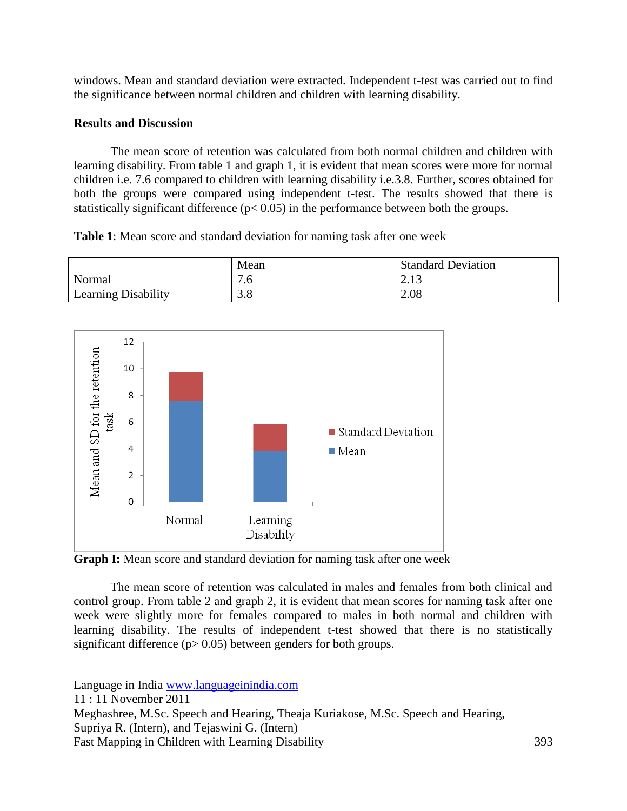windows. Mean and standard deviation were extracted. Independent t-test was carried out to find the significance between normal children and children with learning disability.

# **Results and Discussion**

The mean score of retention was calculated from both normal children and children with learning disability. From table 1 and graph 1, it is evident that mean scores were more for normal children i.e. 7.6 compared to children with learning disability i.e.3.8. Further, scores obtained for both the groups were compared using independent t-test. The results showed that there is statistically significant difference (p< 0.05) in the performance between both the groups.

**Table 1**: Mean score and standard deviation for naming task after one week





**Graph I:** Mean score and standard deviation for naming task after one week

The mean score of retention was calculated in males and females from both clinical and control group. From table 2 and graph 2, it is evident that mean scores for naming task after one week were slightly more for females compared to males in both normal and children with learning disability. The results of independent t-test showed that there is no statistically significant difference  $(p> 0.05)$  between genders for both groups.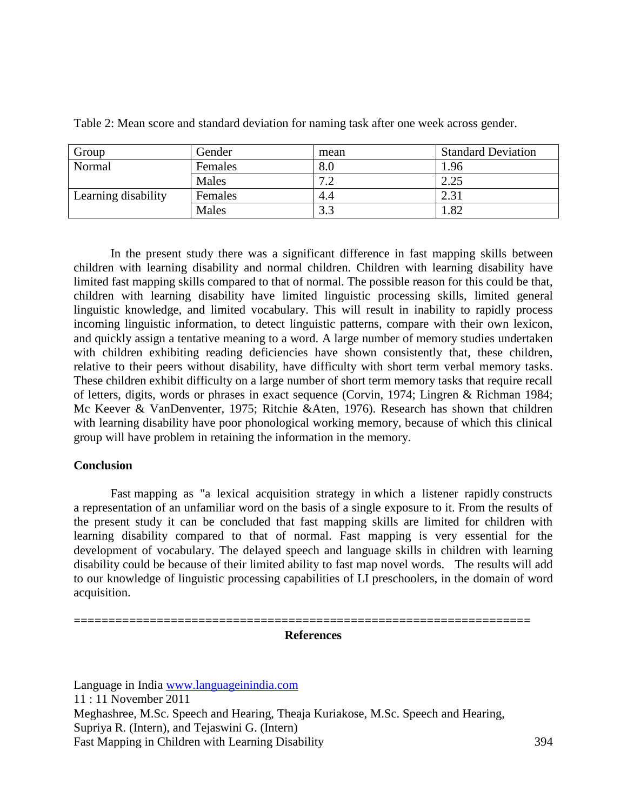| Group               | Gender  | mean        | <b>Standard Deviation</b> |
|---------------------|---------|-------------|---------------------------|
| Normal              | Females | 8.0         | 1.96                      |
|                     | Males   | $\tau \sim$ | 2.25                      |
| Learning disability | Females | 4.4         | 2.31                      |
|                     | Males   | 22          | 1.82                      |

Table 2: Mean score and standard deviation for naming task after one week across gender.

In the present study there was a significant difference in fast mapping skills between children with learning disability and normal children. Children with learning disability have limited fast mapping skills compared to that of normal. The possible reason for this could be that, children with learning disability have limited linguistic processing skills, limited general linguistic knowledge, and limited vocabulary. This will result in inability to rapidly process incoming linguistic information, to detect linguistic patterns, compare with their own lexicon, and quickly assign a tentative meaning to a word. A large number of memory studies undertaken with children exhibiting reading deficiencies have shown consistently that, these children, relative to their peers without disability, have difficulty with short term verbal memory tasks. These children exhibit difficulty on a large number of short term memory tasks that require recall of letters, digits, words or phrases in exact sequence (Corvin, 1974; Lingren & Richman 1984; Mc Keever & VanDenventer, 1975; Ritchie &Aten, 1976). Research has shown that children with learning disability have poor phonological working memory, because of which this clinical group will have problem in retaining the information in the memory.

# **Conclusion**

Fast mapping as "a lexical acquisition strategy in which a listener rapidly constructs a representation of an unfamiliar word on the basis of a single exposure to it. From the results of the present study it can be concluded that fast mapping skills are limited for children with learning disability compared to that of normal. Fast mapping is very essential for the development of vocabulary. The delayed speech and language skills in children with learning disability could be because of their limited ability to fast map novel words. The results will add to our knowledge of linguistic processing capabilities of LI preschoolers, in the domain of word acquisition.

#### **References**

==================================================================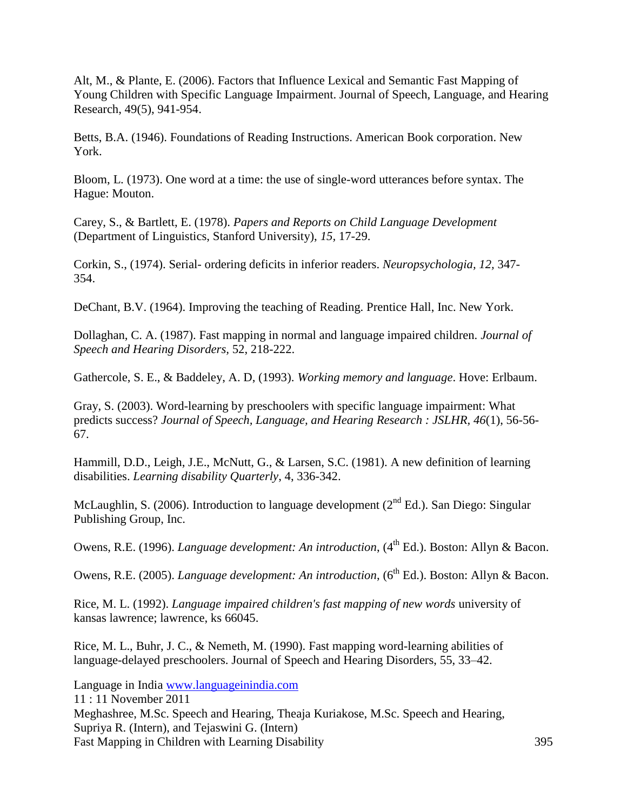Alt, M., & Plante, E. (2006). Factors that Influence Lexical and Semantic Fast Mapping of Young Children with Specific Language Impairment. Journal of Speech, Language, and Hearing Research, 49(5), 941-954.

Betts, B.A. (1946). Foundations of Reading Instructions. American Book corporation. New York.

Bloom, L. (1973). One word at a time: the use of single-word utterances before syntax. The Hague: Mouton.

Carey, S., & Bartlett, E. (1978). *Papers and Reports on Child Language Development*  (Department of Linguistics, Stanford University), *15,* 17-29.

Corkin, S., (1974). Serial- ordering deficits in inferior readers. *Neuropsychologia, 12,* 347- 354.

DeChant, B.V. (1964). Improving the teaching of Reading. Prentice Hall, Inc. New York.

Dollaghan, C. A. (1987). Fast mapping in normal and language impaired children. *Journal of Speech and Hearing Disorders,* 52, 218-222.

Gathercole, S. E., & Baddeley, A. D, (1993). *Working memory and language*. Hove: Erlbaum.

Gray, S. (2003). Word-learning by preschoolers with specific language impairment: What predicts success? *Journal of Speech, Language, and Hearing Research : JSLHR, 46*(1), 56-56- 67.

Hammill, D.D., Leigh, J.E., McNutt, G., & Larsen, S.C. (1981). A new definition of learning disabilities. *Learning disability Quarterly*, 4, 336-342.

McLaughlin, S. (2006). Introduction to language development ( $2<sup>nd</sup> Ed$ .). San Diego: Singular Publishing Group, Inc.

Owens, R.E. (1996). *Language development: An introduction*, (4<sup>th</sup> Ed.). Boston: Allyn & Bacon.

Owens, R.E. (2005). *Language development: An introduction*, (6<sup>th</sup> Ed.). Boston: Allyn & Bacon.

Rice, M. L. (1992). *Language impaired children's fast mapping of new words* university of kansas lawrence; lawrence, ks 66045.

Rice, M. L., Buhr, J. C., & Nemeth, M. (1990). Fast mapping word-learning abilities of language-delayed preschoolers. Journal of Speech and Hearing Disorders, 55, 33–42.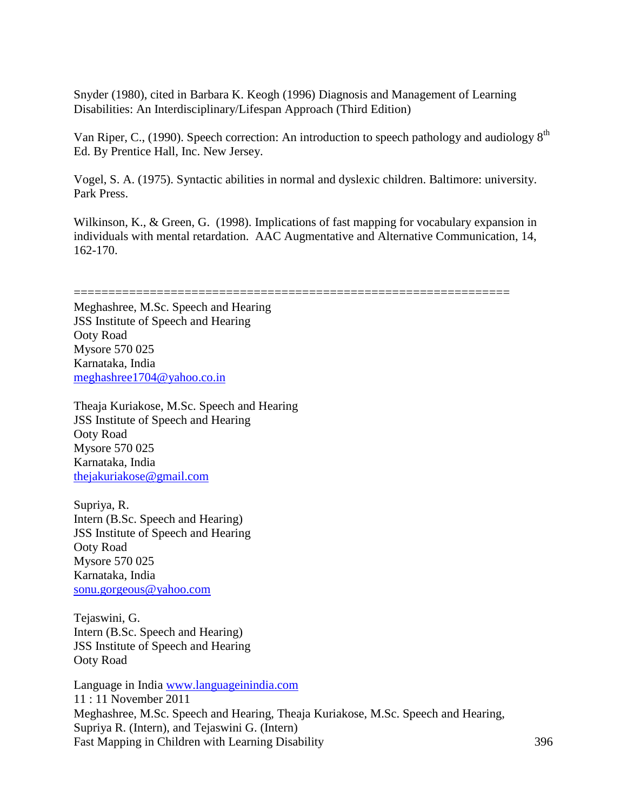Snyder (1980), cited in Barbara K. Keogh (1996) Diagnosis and Management of Learning Disabilities: An Interdisciplinary/Lifespan Approach (Third Edition)

Van Riper, C., (1990). Speech correction: An introduction to speech pathology and audiology 8th Ed. By Prentice Hall, Inc. New Jersey.

Vogel, S. A. (1975). Syntactic abilities in normal and dyslexic children. Baltimore: university. Park Press.

Wilkinson, K., & Green, G. (1998). Implications of fast mapping for vocabulary expansion in individuals with mental retardation. AAC Augmentative and Alternative Communication, 14, 162-170.

=============================================================== Meghashree, M.Sc. Speech and Hearing JSS Institute of Speech and Hearing Ooty Road Mysore 570 025 Karnataka, India [meghashree1704@yahoo.co.in](mailto:meghashree1704@yahoo.co.in)

Theaja Kuriakose, M.Sc. Speech and Hearing JSS Institute of Speech and Hearing Ooty Road Mysore 570 025 Karnataka, India [thejakuriakose@gmail.com](mailto:thejakuriakose@gmail.com)

Supriya, R. Intern (B.Sc. Speech and Hearing) JSS Institute of Speech and Hearing Ooty Road Mysore 570 025 Karnataka, India [sonu.gorgeous@yahoo.com](mailto:sonu.gorgeous@yahoo.com)

Tejaswini, G. Intern (B.Sc. Speech and Hearing) JSS Institute of Speech and Hearing Ooty Road